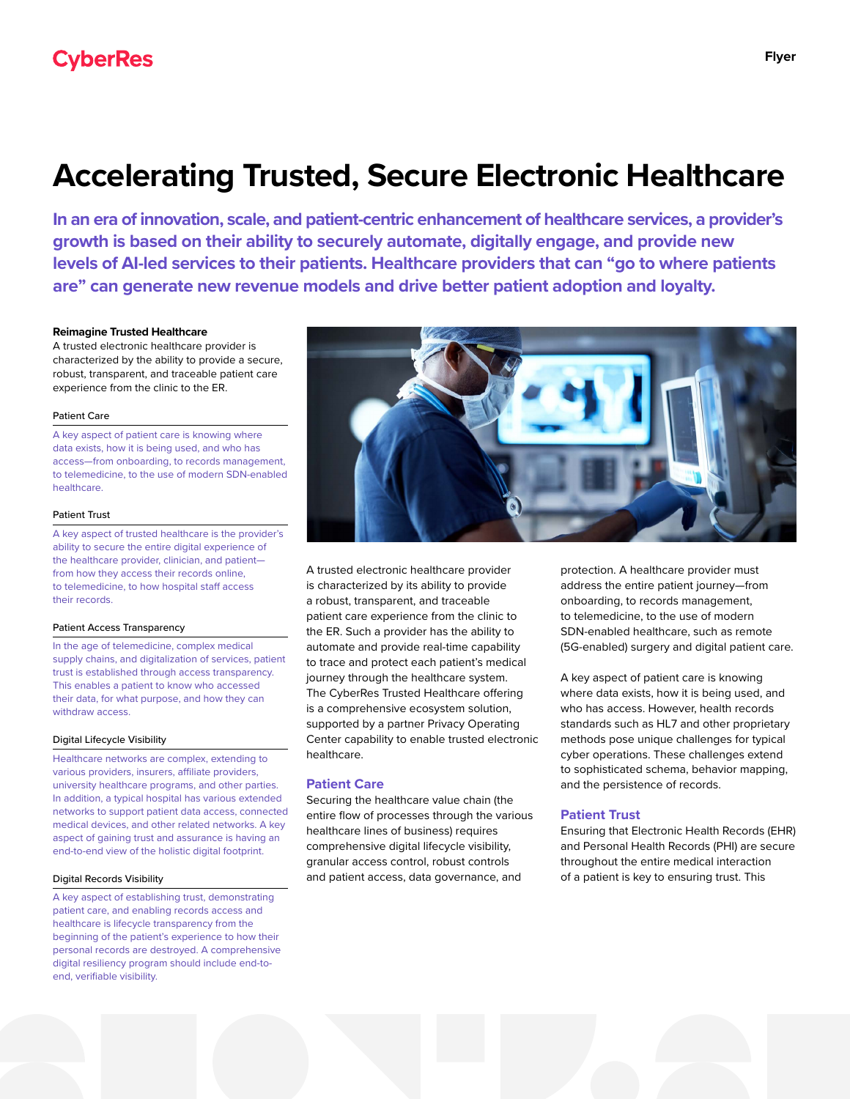# **Accelerating Trusted, Secure Electronic Healthcare**

**In an era of innovation, scale, and patient-centric enhancement of healthcare services, a provider's growth is based on their ability to securely automate, digitally engage, and provide new levels of AI-led services to their patients. Healthcare providers that can "go to where patients are" can generate new revenue models and drive better patient adoption and loyalty.**

## **Reimagine Trusted Healthcare**

A trusted electronic healthcare provider is characterized by the ability to provide a secure, robust, transparent, and traceable patient care experience from the clinic to the ER.

#### Patient Care

A key aspect of patient care is knowing where data exists, how it is being used, and who has access—from onboarding, to records management, to telemedicine, to the use of modern SDN-enabled healthcare.

## Patient Trust

A key aspect of trusted healthcare is the provider's ability to secure the entire digital experience of the healthcare provider, clinician, and patient from how they access their records online, to telemedicine, to how hospital staff access their records.

## Patient Access Transparency

In the age of telemedicine, complex medical supply chains, and digitalization of services, patient trust is established through access transparency. This enables a patient to know who accessed their data, for what purpose, and how they can withdraw access.

## Digital Lifecycle Visibility

Healthcare networks are complex, extending to various providers, insurers, affiliate providers, university healthcare programs, and other parties. In addition, a typical hospital has various extended networks to support patient data access, connected medical devices, and other related networks. A key aspect of gaining trust and assurance is having an end-to-end view of the holistic digital footprint.

#### Digital Records Visibility

A key aspect of establishing trust, demonstrating patient care, and enabling records access and healthcare is lifecycle transparency from the beginning of the patient's experience to how their personal records are destroyed. A comprehensive digital resiliency program should include end-toend, verifiable visibility.



A trusted electronic healthcare provider is characterized by its ability to provide a robust, transparent, and traceable patient care experience from the clinic to the ER. Such a provider has the ability to automate and provide real-time capability to trace and protect each patient's medical journey through the healthcare system. The CyberRes Trusted Healthcare offering is a comprehensive ecosystem solution, supported by a partner Privacy Operating Center capability to enable trusted electronic healthcare.

# **Patient Care**

Securing the healthcare value chain (the entire flow of processes through the various healthcare lines of business) requires comprehensive digital lifecycle visibility, granular access control, robust controls and patient access, data governance, and

protection. A healthcare provider must address the entire patient journey—from onboarding, to records management, to telemedicine, to the use of modern SDN-enabled healthcare, such as remote (5G-enabled) surgery and digital patient care.

A key aspect of patient care is knowing where data exists, how it is being used, and who has access. However, health records standards such as HL7 and other proprietary methods pose unique challenges for typical cyber operations. These challenges extend to sophisticated schema, behavior mapping, and the persistence of records.

## **Patient Trust**

Ensuring that Electronic Health Records (EHR) and Personal Health Records (PHI) are secure throughout the entire medical interaction of a patient is key to ensuring trust. This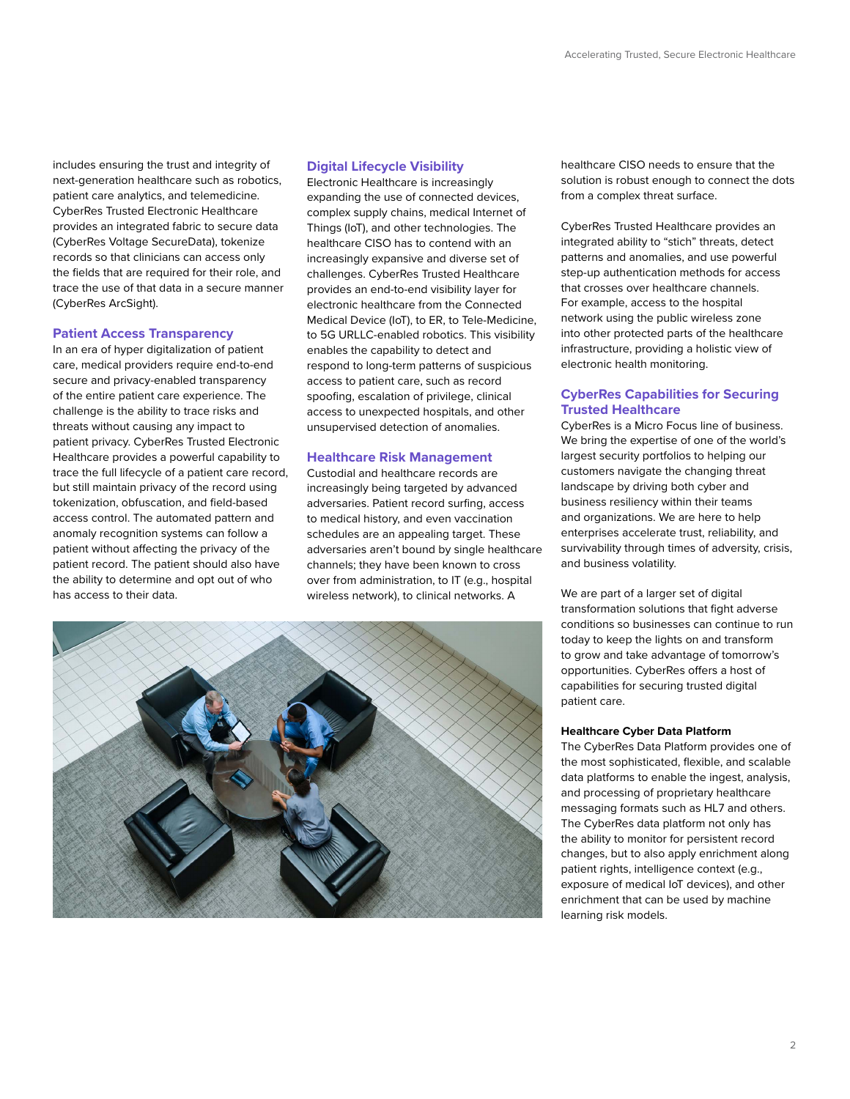includes ensuring the trust and integrity of next-generation healthcare such as robotics, patient care analytics, and telemedicine. CyberRes Trusted Electronic Healthcare provides an integrated fabric to secure data (CyberRes Voltage SecureData), tokenize records so that clinicians can access only the fields that are required for their role, and trace the use of that data in a secure manner (CyberRes ArcSight).

## **Patient Access Transparency**

In an era of hyper digitalization of patient care, medical providers require end-to-end secure and privacy-enabled transparency of the entire patient care experience. The challenge is the ability to trace risks and threats without causing any impact to patient privacy. CyberRes Trusted Electronic Healthcare provides a powerful capability to trace the full lifecycle of a patient care record, but still maintain privacy of the record using tokenization, obfuscation, and field-based access control. The automated pattern and anomaly recognition systems can follow a patient without affecting the privacy of the patient record. The patient should also have the ability to determine and opt out of who has access to their data.

# **Digital Lifecycle Visibility**

Electronic Healthcare is increasingly expanding the use of connected devices, complex supply chains, medical Internet of Things (IoT), and other technologies. The healthcare CISO has to contend with an increasingly expansive and diverse set of challenges. CyberRes Trusted Healthcare provides an end-to-end visibility layer for electronic healthcare from the Connected Medical Device (IoT), to ER, to Tele-Medicine, to 5G URLLC-enabled robotics. This visibility enables the capability to detect and respond to long-term patterns of suspicious access to patient care, such as record spoofing, escalation of privilege, clinical access to unexpected hospitals, and other unsupervised detection of anomalies.

# **Healthcare Risk Management**

Custodial and healthcare records are increasingly being targeted by advanced adversaries. Patient record surfing, access to medical history, and even vaccination schedules are an appealing target. These adversaries aren't bound by single healthcare channels; they have been known to cross over from administration, to IT (e.g., hospital wireless network), to clinical networks. A



healthcare CISO needs to ensure that the solution is robust enough to connect the dots from a complex threat surface.

CyberRes Trusted Healthcare provides an integrated ability to "stich" threats, detect patterns and anomalies, and use powerful step-up authentication methods for access that crosses over healthcare channels. For example, access to the hospital network using the public wireless zone into other protected parts of the healthcare infrastructure, providing a holistic view of electronic health monitoring.

# **CyberRes Capabilities for Securing Trusted Healthcare**

CyberRes is a Micro Focus line of business. We bring the expertise of one of the world's largest security portfolios to helping our customers navigate the changing threat landscape by driving both cyber and business resiliency within their teams and organizations. We are here to help enterprises accelerate trust, reliability, and survivability through times of adversity, crisis, and business volatility.

We are part of a larger set of digital transformation solutions that fight adverse conditions so businesses can continue to run today to keep the lights on and transform to grow and take advantage of tomorrow's opportunities. CyberRes offers a host of capabilities for securing trusted digital patient care.

## **Healthcare Cyber Data Platform**

The CyberRes Data Platform provides one of the most sophisticated, flexible, and scalable data platforms to enable the ingest, analysis, and processing of proprietary healthcare messaging formats such as HL7 and others. The CyberRes data platform not only has the ability to monitor for persistent record changes, but to also apply enrichment along patient rights, intelligence context (e.g., exposure of medical IoT devices), and other enrichment that can be used by machine learning risk models.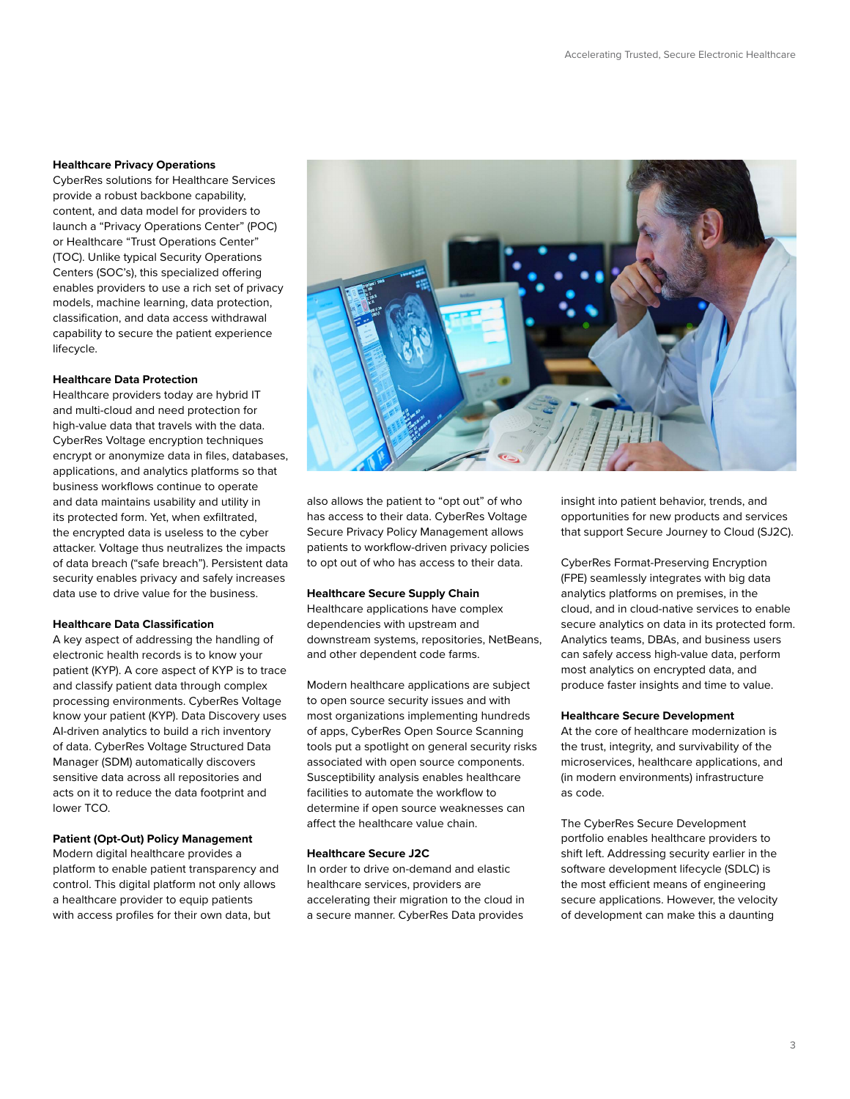## **Healthcare Privacy Operations**

CyberRes solutions for Healthcare Services provide a robust backbone capability, content, and data model for providers to launch a "Privacy Operations Center" (POC) or Healthcare "Trust Operations Center" (TOC). Unlike typical Security Operations Centers (SOC's), this specialized offering enables providers to use a rich set of privacy models, machine learning, data protection, classification, and data access withdrawal capability to secure the patient experience lifecycle.

## **Healthcare Data Protection**

Healthcare providers today are hybrid IT and multi-cloud and need protection for high-value data that travels with the data. CyberRes Voltage encryption techniques encrypt or anonymize data in files, databases, applications, and analytics platforms so that business workflows continue to operate and data maintains usability and utility in its protected form. Yet, when exfiltrated, the encrypted data is useless to the cyber attacker. Voltage thus neutralizes the impacts of data breach ("safe breach"). Persistent data security enables privacy and safely increases data use to drive value for the business.

## **Healthcare Data Classification**

A key aspect of addressing the handling of electronic health records is to know your patient (KYP). A core aspect of KYP is to trace and classify patient data through complex processing environments. CyberRes Voltage know your patient (KYP). Data Discovery uses AI-driven analytics to build a rich inventory of data. CyberRes Voltage Structured Data Manager (SDM) automatically discovers sensitive data across all repositories and acts on it to reduce the data footprint and lower TCO.

# **Patient (Opt-Out) Policy Management**

Modern digital healthcare provides a platform to enable patient transparency and control. This digital platform not only allows a healthcare provider to equip patients with access profiles for their own data, but



also allows the patient to "opt out" of who has access to their data. CyberRes Voltage Secure Privacy Policy Management allows patients to workflow-driven privacy policies to opt out of who has access to their data.

## **Healthcare Secure Supply Chain**

Healthcare applications have complex dependencies with upstream and downstream systems, repositories, NetBeans, and other dependent code farms.

Modern healthcare applications are subject to open source security issues and with most organizations implementing hundreds of apps, CyberRes Open Source Scanning tools put a spotlight on general security risks associated with open source components. Susceptibility analysis enables healthcare facilities to automate the workflow to determine if open source weaknesses can affect the healthcare value chain.

## **Healthcare Secure J2C**

In order to drive on-demand and elastic healthcare services, providers are accelerating their migration to the cloud in a secure manner. CyberRes Data provides

insight into patient behavior, trends, and opportunities for new products and services that support Secure Journey to Cloud (SJ2C).

CyberRes Format-Preserving Encryption (FPE) seamlessly integrates with big data analytics platforms on premises, in the cloud, and in cloud-native services to enable secure analytics on data in its protected form. Analytics teams, DBAs, and business users can safely access high-value data, perform most analytics on encrypted data, and produce faster insights and time to value.

#### **Healthcare Secure Development**

At the core of healthcare modernization is the trust, integrity, and survivability of the microservices, healthcare applications, and (in modern environments) infrastructure as code.

The CyberRes Secure Development portfolio enables healthcare providers to shift left. Addressing security earlier in the software development lifecycle (SDLC) is the most efficient means of engineering secure applications. However, the velocity of development can make this a daunting